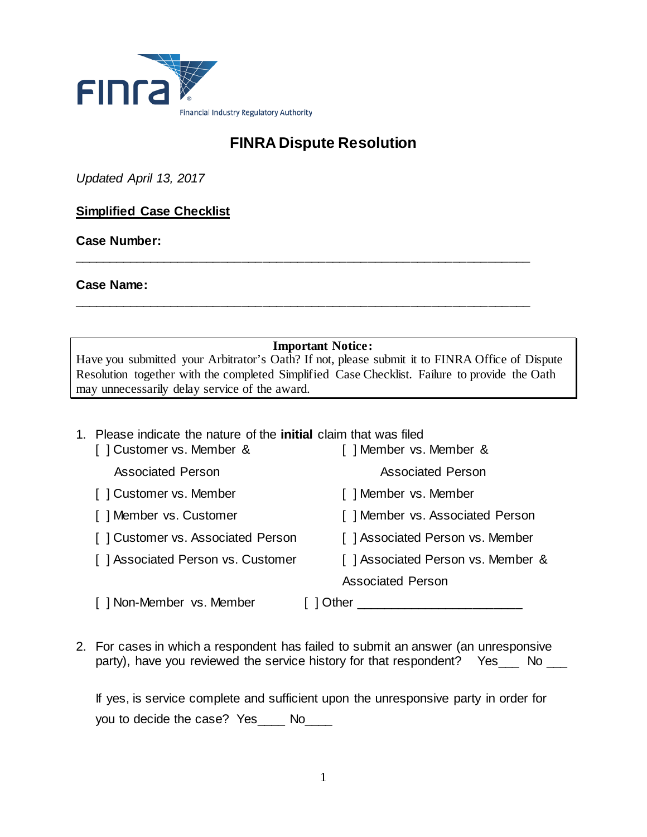

# **FINRA Dispute Resolution**

*Updated April 13, 2017*

# **Simplified Case Checklist**

**Case Number:** 

**Case Name:**

**Important Notice:** Have you submitted your Arbitrator's Oath? If not, please submit it to FINRA Office of Dispute Resolution together with the completed Simplified Case Checklist. Failure to provide the Oath may unnecessarily delay service of the award.

\_\_\_\_\_\_\_\_\_\_\_\_\_\_\_\_\_\_\_\_\_\_\_\_\_\_\_\_\_\_\_\_\_\_\_\_\_\_\_\_\_\_\_\_\_\_\_\_\_\_\_\_\_\_\_\_\_\_\_\_\_\_\_\_\_

\_\_\_\_\_\_\_\_\_\_\_\_\_\_\_\_\_\_\_\_\_\_\_\_\_\_\_\_\_\_\_\_\_\_\_\_\_\_\_\_\_\_\_\_\_\_\_\_\_\_\_\_\_\_\_\_\_\_\_\_\_\_\_\_\_

## 1. Please indicate the nature of the **initial** claim that was filed

| [] Customer vs. Member &          | [] Member vs. Member &            |
|-----------------------------------|-----------------------------------|
| <b>Associated Person</b>          | <b>Associated Person</b>          |
| [] Customer vs. Member            | [] Member vs. Member              |
| [] Member vs. Customer            | [] Member vs. Associated Person   |
| [] Customer vs. Associated Person | [] Associated Person vs. Member   |
| [] Associated Person vs. Customer | [] Associated Person vs. Member & |
|                                   | <b>Associated Person</b>          |
| [] Non-Member vs. Member          | Other                             |

2. For cases in which a respondent has failed to submit an answer (an unresponsive party), have you reviewed the service history for that respondent? Yes\_\_\_ No \_\_\_

If yes, is service complete and sufficient upon the unresponsive party in order for you to decide the case? Yes\_\_\_\_ No\_\_\_\_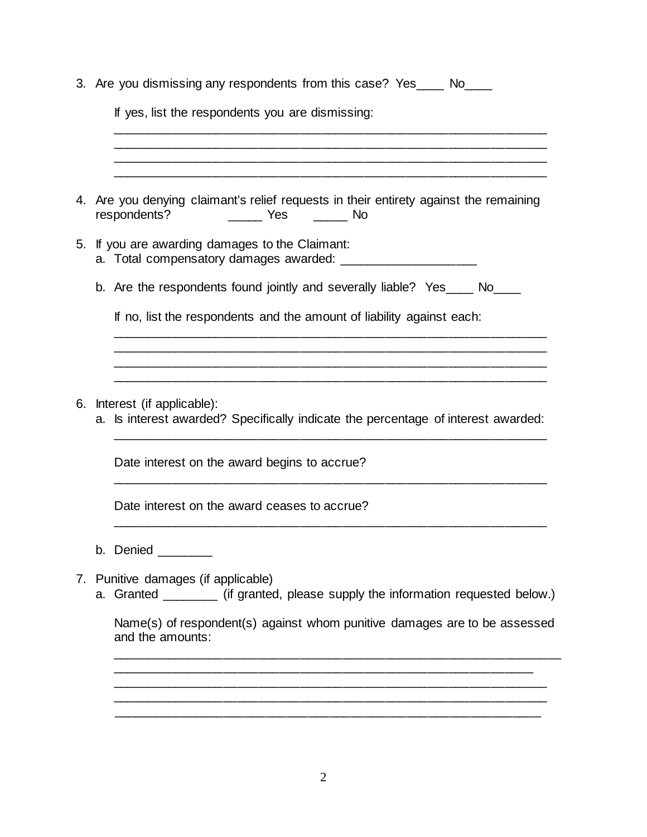|    | 3. Are you dismissing any respondents from this case? Yes____ No____                                                 |
|----|----------------------------------------------------------------------------------------------------------------------|
|    | If yes, list the respondents you are dismissing:                                                                     |
|    |                                                                                                                      |
|    |                                                                                                                      |
|    | 4. Are you denying claimant's relief requests in their entirety against the remaining<br>respondents?                |
|    | 5. If you are awarding damages to the Claimant:                                                                      |
|    | b. Are the respondents found jointly and severally liable? Yes____ No____                                            |
|    | If no, list the respondents and the amount of liability against each:                                                |
|    |                                                                                                                      |
|    |                                                                                                                      |
|    | 6. Interest (if applicable):<br>a. Is interest awarded? Specifically indicate the percentage of interest awarded:    |
|    | Date interest on the award begins to accrue?                                                                         |
|    | Date interest on the award ceases to accrue?                                                                         |
|    | b. Denied                                                                                                            |
| 7. | Punitive damages (if applicable)<br>a. Granted ________ (if granted, please supply the information requested below.) |
|    | Name(s) of respondent(s) against whom punitive damages are to be assessed<br>and the amounts:                        |
|    |                                                                                                                      |

2

\_\_\_\_\_\_\_\_\_\_\_\_\_\_\_\_\_\_\_\_\_\_\_\_\_\_\_\_\_\_\_\_\_\_\_\_\_\_\_\_\_\_\_\_\_\_\_\_\_\_\_\_\_\_\_\_\_\_\_\_\_\_

\_\_\_\_\_\_\_\_\_\_\_\_\_\_\_\_\_\_\_\_\_\_\_\_\_\_\_\_\_\_\_\_\_\_\_\_\_\_\_\_\_\_\_\_\_\_\_\_\_\_\_\_\_\_\_\_\_\_\_\_\_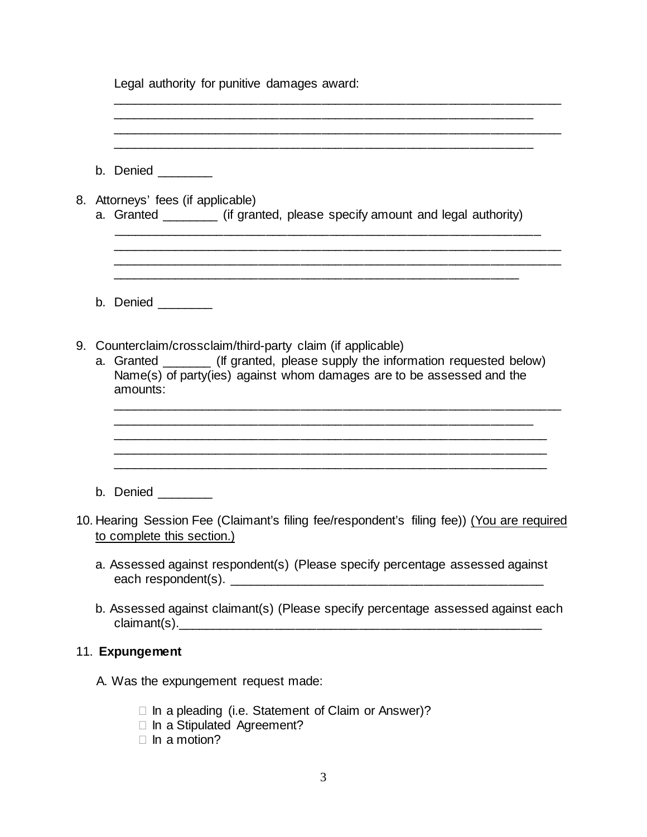Legal authority for punitive damages award:

| b. Denied ________                                                                                                                                                                                                                   |
|--------------------------------------------------------------------------------------------------------------------------------------------------------------------------------------------------------------------------------------|
| 8. Attorneys' fees (if applicable)<br>a. Granted _________ (if granted, please specify amount and legal authority)                                                                                                                   |
| b. Denied $\_\_$                                                                                                                                                                                                                     |
| 9. Counterclaim/crossclaim/third-party claim (if applicable)<br>a. Granted ________ (If granted, please supply the information requested below)<br>Name(s) of party(ies) against whom damages are to be assessed and the<br>amounts: |
|                                                                                                                                                                                                                                      |
| b. Denied ________                                                                                                                                                                                                                   |
| 10. Hearing Session Fee (Claimant's filing fee/respondent's filing fee)) (You are required<br>to complete this section.)                                                                                                             |
| a. Assessed against respondent(s) (Please specify percentage assessed against<br>each respondent(s). _                                                                                                                               |
| b. Assessed against claimant(s) (Please specify percentage assessed against each                                                                                                                                                     |
| 11. Expungement                                                                                                                                                                                                                      |
| A. Was the expungement request made:                                                                                                                                                                                                 |
| $\Box$ In a pleading (i.e. Statement of Claim or Answer)?<br>□ In a Stipulated Agreement?                                                                                                                                            |

\_\_\_\_\_\_\_\_\_\_\_\_\_\_\_\_\_\_\_\_\_\_\_\_\_\_\_\_\_\_\_\_\_\_\_\_\_\_\_\_\_\_\_\_\_\_\_\_\_\_\_\_\_\_\_\_\_\_\_\_\_\_\_\_

 $\Box$  In a motion?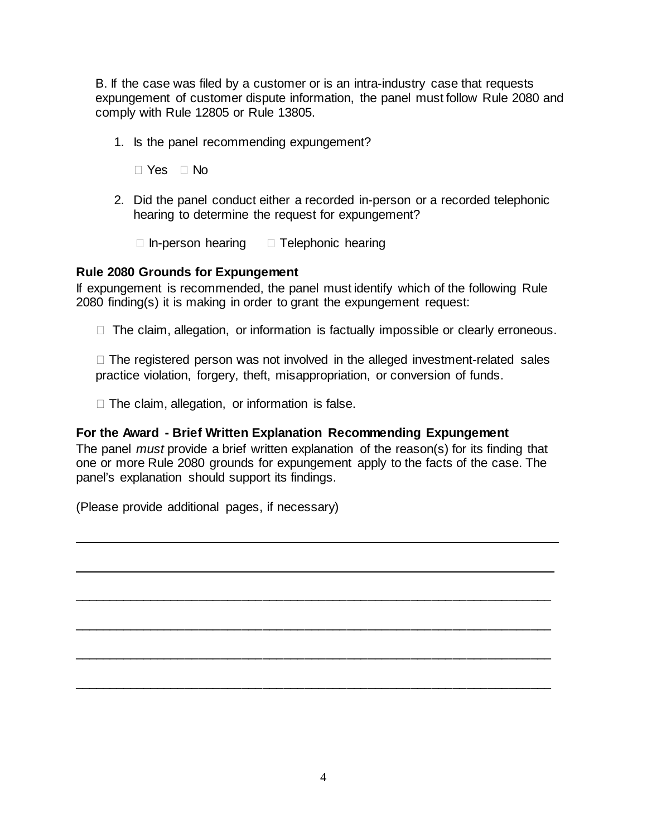B. If the case was filed by a customer or is an intra-industry case that requests expungement of customer dispute information, the panel must follow Rule 2080 and comply with Rule 12805 or Rule 13805.

- 1. Is the panel recommending expungement?
	- $\Box$  Yes  $\Box$  No
- 2. Did the panel conduct either a recorded in-person or a recorded telephonic hearing to determine the request for expungement?
	- $\Box$  In-person hearing  $\Box$  Telephonic hearing

### **Rule 2080 Grounds for Expungement**

If expungement is recommended, the panel must identify which of the following Rule 2080 finding(s) it is making in order to grant the expungement request:

 $\Box$  The claim, allegation, or information is factually impossible or clearly erroneous.

 $\Box$  The registered person was not involved in the alleged investment-related sales practice violation, forgery, theft, misappropriation, or conversion of funds.

 $\Box$  The claim, allegation, or information is false.

## **For the Award - Brief Written Explanation Recommending Expungement**

The panel *must* provide a brief written explanation of the reason(s) for its finding that one or more Rule 2080 grounds for expungement apply to the facts of the case. The panel's explanation should support its findings.

 $\overline{\phantom{a}}$  , and the contract of the contract of the contract of the contract of the contract of the contract of the contract of the contract of the contract of the contract of the contract of the contract of the contrac

\_\_\_\_\_\_\_\_\_\_\_\_\_\_\_\_\_\_\_\_\_\_\_\_\_\_\_\_\_\_\_\_\_\_\_\_\_\_\_\_\_\_\_\_\_\_\_\_\_\_\_\_\_\_\_\_\_\_\_\_\_\_\_\_\_\_\_\_

\_\_\_\_\_\_\_\_\_\_\_\_\_\_\_\_\_\_\_\_\_\_\_\_\_\_\_\_\_\_\_\_\_\_\_\_\_\_\_\_\_\_\_\_\_\_\_\_\_\_\_\_\_\_\_\_\_\_\_\_\_\_\_\_\_\_\_\_

\_\_\_\_\_\_\_\_\_\_\_\_\_\_\_\_\_\_\_\_\_\_\_\_\_\_\_\_\_\_\_\_\_\_\_\_\_\_\_\_\_\_\_\_\_\_\_\_\_\_\_\_\_\_\_\_\_\_\_\_\_\_\_\_\_\_\_\_

\_\_\_\_\_\_\_\_\_\_\_\_\_\_\_\_\_\_\_\_\_\_\_\_\_\_\_\_\_\_\_\_\_\_\_\_\_\_\_\_\_\_\_\_\_\_\_\_\_\_\_\_\_\_\_\_\_\_\_\_\_\_\_\_\_\_\_\_

\_\_\_\_\_\_\_\_\_\_\_\_\_\_\_\_\_\_\_\_\_\_\_\_\_\_\_\_\_\_\_\_\_\_\_\_\_\_\_\_\_\_\_\_\_\_\_\_\_\_\_\_\_\_\_\_\_\_\_\_\_\_\_\_\_\_\_\_

(Please provide additional pages, if necessary)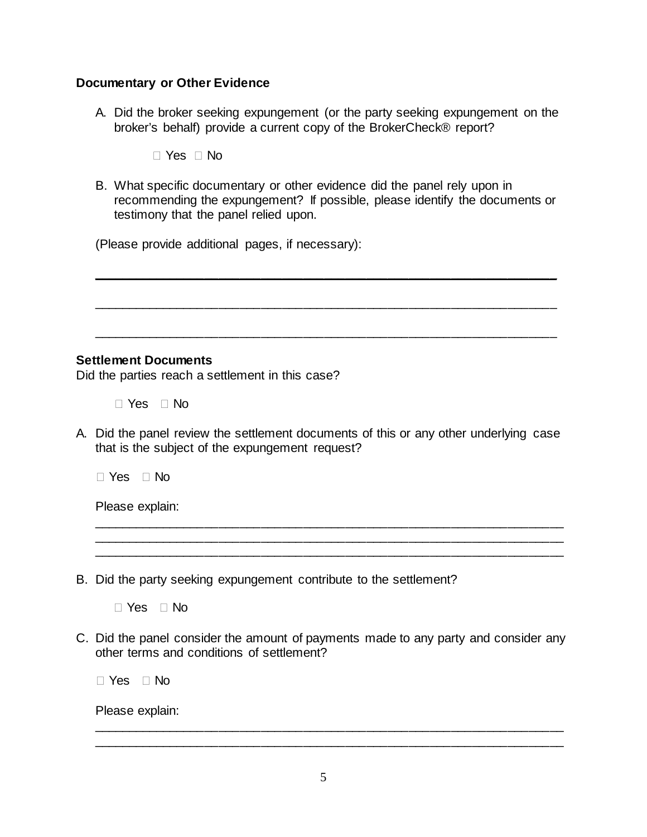### **Documentary or Other Evidence**

A. Did the broker seeking expungement (or the party seeking expungement on the broker's behalf) provide a current copy of the BrokerCheck® report?

 $\Box$  Yes  $\Box$  No

B. What specific documentary or other evidence did the panel rely upon in recommending the expungement? If possible, please identify the documents or testimony that the panel relied upon.

 $\overline{\phantom{a}}$  , and the contract of the contract of the contract of the contract of the contract of the contract of the contract of the contract of the contract of the contract of the contract of the contract of the contrac

\_\_\_\_\_\_\_\_\_\_\_\_\_\_\_\_\_\_\_\_\_\_\_\_\_\_\_\_\_\_\_\_\_\_\_\_\_\_\_\_\_\_\_\_\_\_\_\_\_\_\_\_\_\_\_\_\_\_\_\_\_\_\_\_\_\_

\_\_\_\_\_\_\_\_\_\_\_\_\_\_\_\_\_\_\_\_\_\_\_\_\_\_\_\_\_\_\_\_\_\_\_\_\_\_\_\_\_\_\_\_\_\_\_\_\_\_\_\_\_\_\_\_\_\_\_\_\_\_\_\_\_\_

(Please provide additional pages, if necessary):

### **Settlement Documents**

Did the parties reach a settlement in this case?

 $\Box$  Yes  $\Box$  No

A. Did the panel review the settlement documents of this or any other underlying case that is the subject of the expungement request?

\_\_\_\_\_\_\_\_\_\_\_\_\_\_\_\_\_\_\_\_\_\_\_\_\_\_\_\_\_\_\_\_\_\_\_\_\_\_\_\_\_\_\_\_\_\_\_\_\_\_\_\_\_\_\_\_\_\_\_\_\_\_\_\_\_\_\_

 $\Box$  Yes  $\Box$  No

Please explain:

B. Did the party seeking expungement contribute to the settlement?

 $\Box$  Yes  $\Box$  No

C. Did the panel consider the amount of payments made to any party and consider any other terms and conditions of settlement?

□ Yes □ No

Please explain:

\_\_\_\_\_\_\_\_\_\_\_\_\_\_\_\_\_\_\_\_\_\_\_\_\_\_\_\_\_\_\_\_\_\_\_\_\_\_\_\_\_\_\_\_\_\_\_\_\_\_\_\_\_\_\_\_\_\_\_\_\_\_\_\_\_\_\_ \_\_\_\_\_\_\_\_\_\_\_\_\_\_\_\_\_\_\_\_\_\_\_\_\_\_\_\_\_\_\_\_\_\_\_\_\_\_\_\_\_\_\_\_\_\_\_\_\_\_\_\_\_\_\_\_\_\_\_\_\_\_\_\_\_\_\_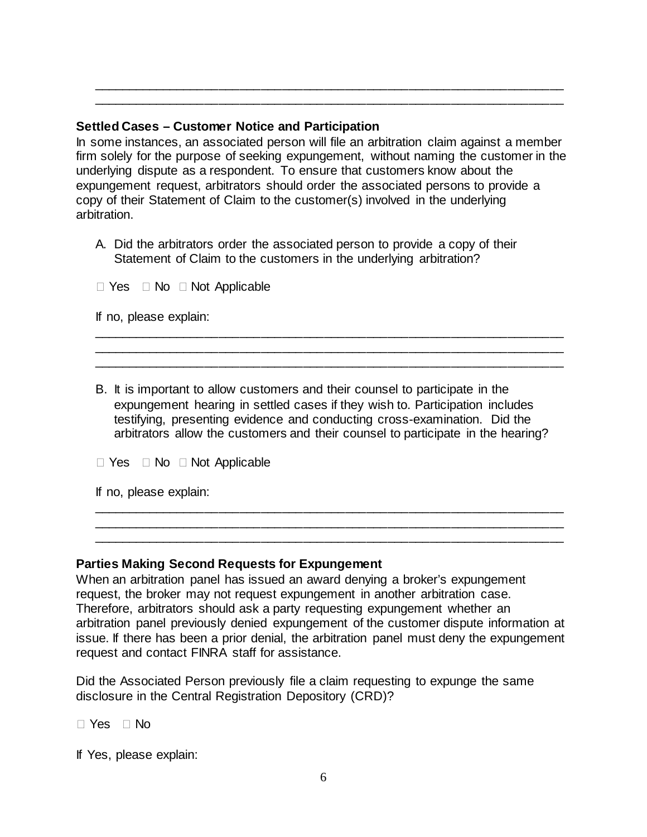## **Settled Cases – Customer Notice and Participation**

In some instances, an associated person will file an arbitration claim against a member firm solely for the purpose of seeking expungement, without naming the customer in the underlying dispute as a respondent. To ensure that customers know about the expungement request, arbitrators should order the associated persons to provide a copy of their Statement of Claim to the customer(s) involved in the underlying arbitration.

\_\_\_\_\_\_\_\_\_\_\_\_\_\_\_\_\_\_\_\_\_\_\_\_\_\_\_\_\_\_\_\_\_\_\_\_\_\_\_\_\_\_\_\_\_\_\_\_\_\_\_\_\_\_\_\_\_\_\_\_\_\_\_\_\_\_\_ \_\_\_\_\_\_\_\_\_\_\_\_\_\_\_\_\_\_\_\_\_\_\_\_\_\_\_\_\_\_\_\_\_\_\_\_\_\_\_\_\_\_\_\_\_\_\_\_\_\_\_\_\_\_\_\_\_\_\_\_\_\_\_\_\_\_\_

A. Did the arbitrators order the associated person to provide a copy of their Statement of Claim to the customers in the underlying arbitration?

 $\Box$  Yes  $\Box$  No  $\Box$  Not Applicable

If no, please explain:

B. It is important to allow customers and their counsel to participate in the expungement hearing in settled cases if they wish to. Participation includes testifying, presenting evidence and conducting cross-examination. Did the arbitrators allow the customers and their counsel to participate in the hearing?

\_\_\_\_\_\_\_\_\_\_\_\_\_\_\_\_\_\_\_\_\_\_\_\_\_\_\_\_\_\_\_\_\_\_\_\_\_\_\_\_\_\_\_\_\_\_\_\_\_\_\_\_\_\_\_\_\_\_\_\_\_\_\_\_\_\_\_ \_\_\_\_\_\_\_\_\_\_\_\_\_\_\_\_\_\_\_\_\_\_\_\_\_\_\_\_\_\_\_\_\_\_\_\_\_\_\_\_\_\_\_\_\_\_\_\_\_\_\_\_\_\_\_\_\_\_\_\_\_\_\_\_\_\_\_ \_\_\_\_\_\_\_\_\_\_\_\_\_\_\_\_\_\_\_\_\_\_\_\_\_\_\_\_\_\_\_\_\_\_\_\_\_\_\_\_\_\_\_\_\_\_\_\_\_\_\_\_\_\_\_\_\_\_\_\_\_\_\_\_\_\_\_

\_\_\_\_\_\_\_\_\_\_\_\_\_\_\_\_\_\_\_\_\_\_\_\_\_\_\_\_\_\_\_\_\_\_\_\_\_\_\_\_\_\_\_\_\_\_\_\_\_\_\_\_\_\_\_\_\_\_\_\_\_\_\_\_\_\_\_ \_\_\_\_\_\_\_\_\_\_\_\_\_\_\_\_\_\_\_\_\_\_\_\_\_\_\_\_\_\_\_\_\_\_\_\_\_\_\_\_\_\_\_\_\_\_\_\_\_\_\_\_\_\_\_\_\_\_\_\_\_\_\_\_\_\_\_ \_\_\_\_\_\_\_\_\_\_\_\_\_\_\_\_\_\_\_\_\_\_\_\_\_\_\_\_\_\_\_\_\_\_\_\_\_\_\_\_\_\_\_\_\_\_\_\_\_\_\_\_\_\_\_\_\_\_\_\_\_\_\_\_\_\_\_

 $\Box$  Yes  $\Box$  No  $\Box$  Not Applicable

If no, please explain:

#### **Parties Making Second Requests for Expungement**

When an arbitration panel has issued an award denying a broker's expungement request, the broker may not request expungement in another arbitration case. Therefore, arbitrators should ask a party requesting expungement whether an arbitration panel previously denied expungement of the customer dispute information at issue. If there has been a prior denial, the arbitration panel must deny the expungement request and contact FINRA staff for assistance.

Did the Associated Person previously file a claim requesting to expunge the same disclosure in the Central Registration Depository (CRD)?

 $\Box$  Yes  $\Box$  No

If Yes, please explain: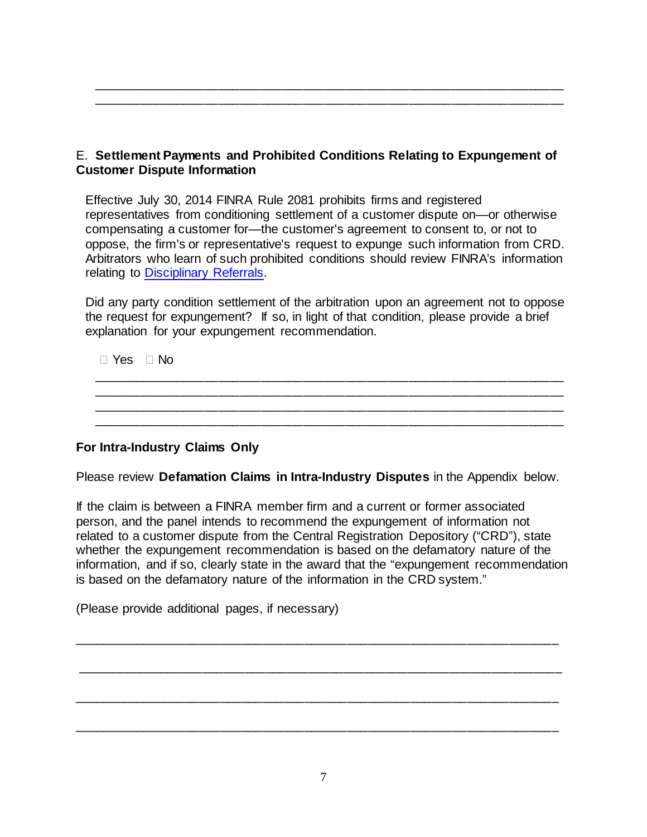E. **Settlement Payments and Prohibited Conditions Relating to Expungement of Customer Dispute Information**

\_\_\_\_\_\_\_\_\_\_\_\_\_\_\_\_\_\_\_\_\_\_\_\_\_\_\_\_\_\_\_\_\_\_\_\_\_\_\_\_\_\_\_\_\_\_\_\_\_\_\_\_\_\_\_\_\_\_\_\_\_\_\_\_\_\_\_ \_\_\_\_\_\_\_\_\_\_\_\_\_\_\_\_\_\_\_\_\_\_\_\_\_\_\_\_\_\_\_\_\_\_\_\_\_\_\_\_\_\_\_\_\_\_\_\_\_\_\_\_\_\_\_\_\_\_\_\_\_\_\_\_\_\_\_

Effective July 30, 2014 FINRA Rule 2081 prohibits firms and registered representatives from conditioning settlement of a customer dispute on—or otherwise compensating a customer for—the customer's agreement to consent to, or not to oppose, the firm's or representative's request to expunge such information from CRD. Arbitrators who learn of such prohibited conditions should review FINRA's information relating to [Disciplinary Referrals.](https://www.finra.org/arbitration-mediation/disciplinary-referrals)

Did any party condition settlement of the arbitration upon an agreement not to oppose the request for expungement? If so, in light of that condition, please provide a brief explanation for your expungement recommendation.

| $\Box$ Yes $\Box$ No |  |  |  |  |  |  |  |
|----------------------|--|--|--|--|--|--|--|
|                      |  |  |  |  |  |  |  |
|                      |  |  |  |  |  |  |  |
|                      |  |  |  |  |  |  |  |
|                      |  |  |  |  |  |  |  |

# **For Intra-Industry Claims Only**

Please review **Defamation Claims in Intra-Industry Disputes** in the Appendix below.

If the claim is between a FINRA member firm and a current or former associated person, and the panel intends to recommend the expungement of information not related to a customer dispute from the Central Registration Depository ("CRD"), state whether the expungement recommendation is based on the defamatory nature of the information, and if so, clearly state in the award that the "expungement recommendation is based on the defamatory nature of the information in the CRD system."

\_\_\_\_\_\_\_\_\_\_\_\_\_\_\_\_\_\_\_\_\_\_\_\_\_\_\_\_\_\_\_\_\_\_\_\_\_\_\_\_\_\_\_\_\_\_\_\_\_\_\_\_\_\_\_\_\_\_\_\_\_\_\_\_\_\_\_\_\_

\_\_\_\_\_\_\_\_\_\_\_\_\_\_\_\_\_\_\_\_\_\_\_\_\_\_\_\_\_\_\_\_\_\_\_\_\_\_\_\_\_\_\_\_\_\_\_\_\_\_\_\_\_\_\_\_\_\_\_\_\_\_\_\_\_\_\_\_\_

\_\_\_\_\_\_\_\_\_\_\_\_\_\_\_\_\_\_\_\_\_\_\_\_\_\_\_\_\_\_\_\_\_\_\_\_\_\_\_\_\_\_\_\_\_\_\_\_\_\_\_\_\_\_\_\_\_\_\_\_\_\_\_\_\_\_\_\_\_

\_\_\_\_\_\_\_\_\_\_\_\_\_\_\_\_\_\_\_\_\_\_\_\_\_\_\_\_\_\_\_\_\_\_\_\_\_\_\_\_\_\_\_\_\_\_\_\_\_\_\_\_\_\_\_\_\_\_\_\_\_\_\_\_\_\_\_\_\_

(Please provide additional pages, if necessary)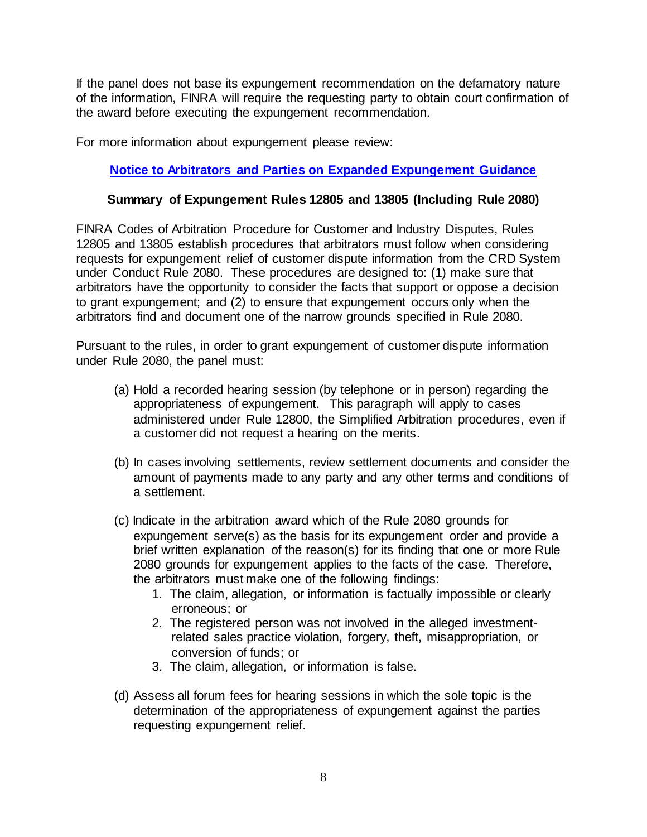If the panel does not base its expungement recommendation on the defamatory nature of the information, FINRA will require the requesting party to obtain court confirmation of the award before executing the expungement recommendation.

For more information about expungement please review:

# **[Notice to Arbitrators and Parties on Expanded Expungement Guidance](https://www.finra.org/arbitration-mediation/notice-arbitrators-and-parties-expanded-expungement-guidance)**

## **Summary of Expungement Rules 12805 and 13805 (Including Rule 2080)**

FINRA Codes of Arbitration Procedure for Customer and Industry Disputes, Rules 12805 and 13805 establish procedures that arbitrators must follow when considering requests for expungement relief of customer dispute information from the CRD System under Conduct Rule 2080. These procedures are designed to: (1) make sure that arbitrators have the opportunity to consider the facts that support or oppose a decision to grant expungement; and (2) to ensure that expungement occurs only when the arbitrators find and document one of the narrow grounds specified in Rule 2080.

Pursuant to the rules, in order to grant expungement of customer dispute information under Rule 2080, the panel must:

- (a) Hold a recorded hearing session (by telephone or in person) regarding the appropriateness of expungement. This paragraph will apply to cases administered under Rule 12800, the Simplified Arbitration procedures, even if a customer did not request a hearing on the merits.
- (b) In cases involving settlements, review settlement documents and consider the amount of payments made to any party and any other terms and conditions of a settlement.
- (c) Indicate in the arbitration award which of the Rule 2080 grounds for expungement serve(s) as the basis for its expungement order and provide a brief written explanation of the reason(s) for its finding that one or more Rule 2080 grounds for expungement applies to the facts of the case. Therefore, the arbitrators must make one of the following findings:
	- 1. The claim, allegation, or information is factually impossible or clearly erroneous; or
	- 2. The registered person was not involved in the alleged investmentrelated sales practice violation, forgery, theft, misappropriation, or conversion of funds; or
	- 3. The claim, allegation, or information is false.
- (d) Assess all forum fees for hearing sessions in which the sole topic is the determination of the appropriateness of expungement against the parties requesting expungement relief.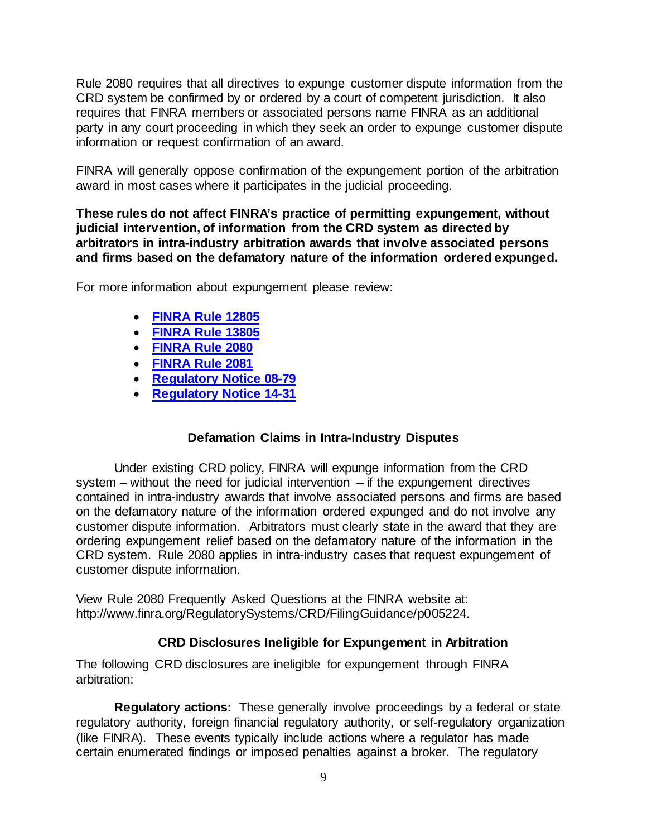Rule 2080 requires that all directives to expunge customer dispute information from the CRD system be confirmed by or ordered by a court of competent jurisdiction. It also requires that FINRA members or associated persons name FINRA as an additional party in any court proceeding in which they seek an order to expunge customer dispute information or request confirmation of an award.

FINRA will generally oppose confirmation of the expungement portion of the arbitration award in most cases where it participates in the judicial proceeding.

**These rules do not affect FINRA's practice of permitting expungement, without judicial intervention, of information from the CRD system as directed by arbitrators in intra-industry arbitration awards that involve associated persons and firms based on the defamatory nature of the information ordered expunged.**

For more information about expungement please review:

- **[FINRA Rule 12805](https://www.finra.org/rules-guidance/rulebooks/finra-rules/12805)**
- **[FINRA Rule 13805](https://www.finra.org/rules-guidance/rulebooks/finra-rules/13805)**
- **[FINRA Rule 2080](https://www.finra.org/rules-guidance/rulebooks/finra-rules/2080)**
- **[FINRA Rule 2081](https://www.finra.org/rules-guidance/rulebooks/finra-rules/2081)**
- **[Regulatory Notice 08-79](https://www.finra.org/rules-guidance/notices/08-79)**
- **[Regulatory Notice 14-31](https://www.finra.org/rules-guidance/notices/14-31)**

# **Defamation Claims in Intra-Industry Disputes**

Under existing CRD policy, FINRA will expunge information from the CRD system – without the need for judicial intervention  $-$  if the expungement directives contained in intra-industry awards that involve associated persons and firms are based on the defamatory nature of the information ordered expunged and do not involve any customer dispute information. Arbitrators must clearly state in the award that they are ordering expungement relief based on the defamatory nature of the information in the CRD system. Rule 2080 applies in intra-industry cases that request expungement of customer dispute information.

View Rule 2080 Frequently Asked Questions at the FINRA website at: [http://www.finra.org/RegulatorySystems/CRD/FilingGuidance/p005224.](https://www.finra.org/registration-exams-ce/classic-crd/faq/finra-rule-2080-frequently-asked-questions)

# **CRD Disclosures Ineligible for Expungement in Arbitration**

The following CRD disclosures are ineligible for expungement through FINRA arbitration:

**Regulatory actions:** These generally involve proceedings by a federal or state regulatory authority, foreign financial regulatory authority, or self-regulatory organization (like FINRA). These events typically include actions where a regulator has made certain enumerated findings or imposed penalties against a broker. The regulatory